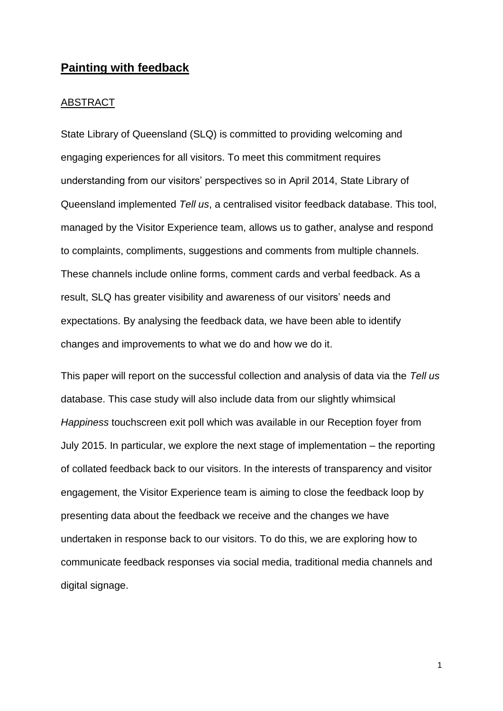# **Painting with feedback**

#### ABSTRACT

State Library of Queensland (SLQ) is committed to providing welcoming and engaging experiences for all visitors. To meet this commitment requires understanding from our visitors' perspectives so in April 2014, State Library of Queensland implemented *Tell us*, a centralised visitor feedback database. This tool, managed by the Visitor Experience team, allows us to gather, analyse and respond to complaints, compliments, suggestions and comments from multiple channels. These channels include online forms, comment cards and verbal feedback. As a result, SLQ has greater visibility and awareness of our visitors' needs and expectations. By analysing the feedback data, we have been able to identify changes and improvements to what we do and how we do it.

This paper will report on the successful collection and analysis of data via the *Tell us*  database. This case study will also include data from our slightly whimsical *Happiness* touchscreen exit poll which was available in our Reception foyer from July 2015. In particular, we explore the next stage of implementation – the reporting of collated feedback back to our visitors. In the interests of transparency and visitor engagement, the Visitor Experience team is aiming to close the feedback loop by presenting data about the feedback we receive and the changes we have undertaken in response back to our visitors. To do this, we are exploring how to communicate feedback responses via social media, traditional media channels and digital signage.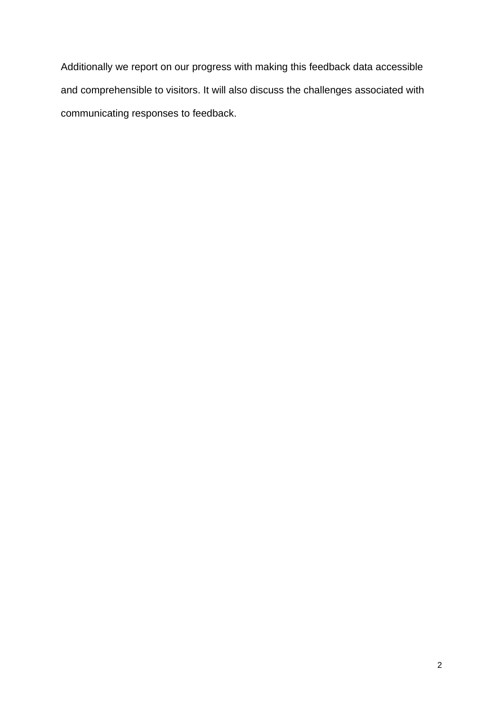Additionally we report on our progress with making this feedback data accessible and comprehensible to visitors. It will also discuss the challenges associated with communicating responses to feedback.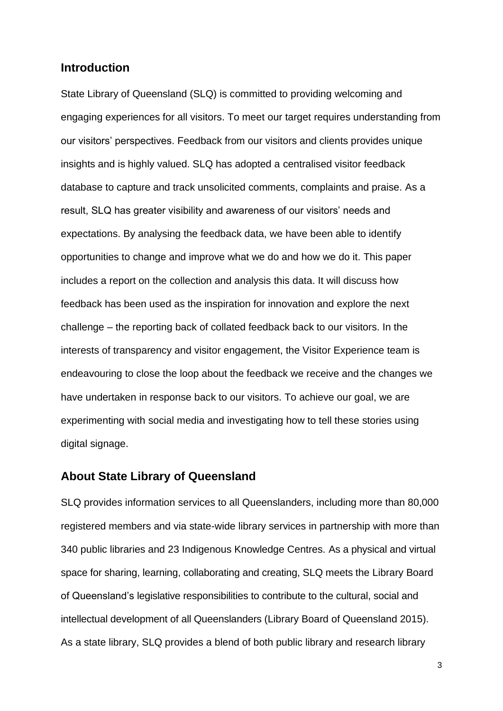## **Introduction**

State Library of Queensland (SLQ) is committed to providing welcoming and engaging experiences for all visitors. To meet our target requires understanding from our visitors' perspectives. Feedback from our visitors and clients provides unique insights and is highly valued. SLQ has adopted a centralised visitor feedback database to capture and track unsolicited comments, complaints and praise. As a result, SLQ has greater visibility and awareness of our visitors' needs and expectations. By analysing the feedback data, we have been able to identify opportunities to change and improve what we do and how we do it. This paper includes a report on the collection and analysis this data. It will discuss how feedback has been used as the inspiration for innovation and explore the next challenge – the reporting back of collated feedback back to our visitors. In the interests of transparency and visitor engagement, the Visitor Experience team is endeavouring to close the loop about the feedback we receive and the changes we have undertaken in response back to our visitors. To achieve our goal, we are experimenting with social media and investigating how to tell these stories using digital signage.

## **About State Library of Queensland**

SLQ provides information services to all Queenslanders, including more than 80,000 registered members and via state-wide library services in partnership with more than 340 public libraries and 23 Indigenous Knowledge Centres. As a physical and virtual space for sharing, learning, collaborating and creating, SLQ meets the Library Board of Queensland's legislative responsibilities to contribute to the cultural, social and intellectual development of all Queenslanders (Library Board of Queensland 2015). As a state library, SLQ provides a blend of both public library and research library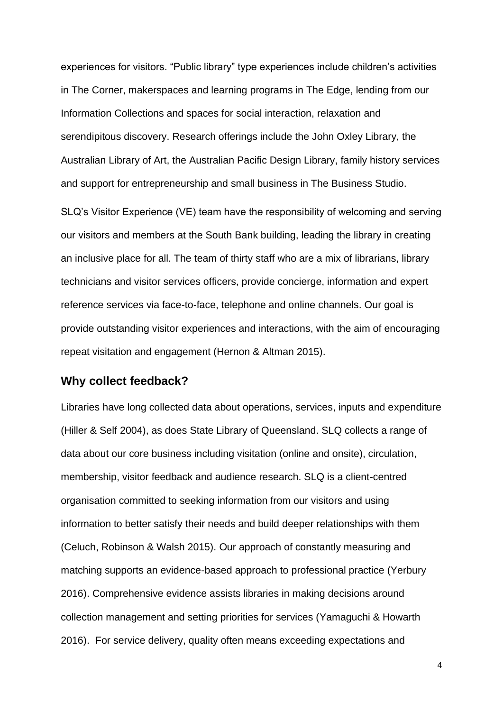experiences for visitors. "Public library" type experiences include children's activities in The Corner, makerspaces and learning programs in The Edge, lending from our Information Collections and spaces for social interaction, relaxation and serendipitous discovery. Research offerings include the John Oxley Library, the Australian Library of Art, the Australian Pacific Design Library, family history services and support for entrepreneurship and small business in The Business Studio.

SLQ's Visitor Experience (VE) team have the responsibility of welcoming and serving our visitors and members at the South Bank building, leading the library in creating an inclusive place for all. The team of thirty staff who are a mix of librarians, library technicians and visitor services officers, provide concierge, information and expert reference services via face-to-face, telephone and online channels. Our goal is provide outstanding visitor experiences and interactions, with the aim of encouraging repeat visitation and engagement (Hernon & Altman 2015).

## **Why collect feedback?**

Libraries have long collected data about operations, services, inputs and expenditure (Hiller & Self 2004), as does State Library of Queensland. SLQ collects a range of data about our core business including visitation (online and onsite), circulation, membership, visitor feedback and audience research. SLQ is a client-centred organisation committed to seeking information from our visitors and using information to better satisfy their needs and build deeper relationships with them (Celuch, Robinson & Walsh 2015). Our approach of constantly measuring and matching supports an evidence-based approach to professional practice (Yerbury 2016). Comprehensive evidence assists libraries in making decisions around collection management and setting priorities for services (Yamaguchi & Howarth 2016). For service delivery, quality often means exceeding expectations and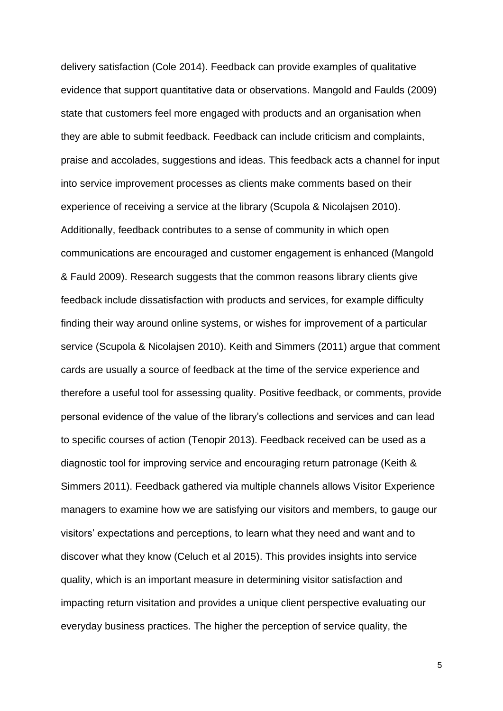delivery satisfaction (Cole 2014). Feedback can provide examples of qualitative evidence that support quantitative data or observations. Mangold and Faulds (2009) state that customers feel more engaged with products and an organisation when they are able to submit feedback. Feedback can include criticism and complaints, praise and accolades, suggestions and ideas. This feedback acts a channel for input into service improvement processes as clients make comments based on their experience of receiving a service at the library (Scupola & Nicolajsen 2010). Additionally, feedback contributes to a sense of community in which open communications are encouraged and customer engagement is enhanced (Mangold & Fauld 2009). Research suggests that the common reasons library clients give feedback include dissatisfaction with products and services, for example difficulty finding their way around online systems, or wishes for improvement of a particular service (Scupola & Nicolajsen 2010). Keith and Simmers (2011) argue that comment cards are usually a source of feedback at the time of the service experience and therefore a useful tool for assessing quality. Positive feedback, or comments, provide personal evidence of the value of the library's collections and services and can lead to specific courses of action (Tenopir 2013). Feedback received can be used as a diagnostic tool for improving service and encouraging return patronage (Keith & Simmers 2011). Feedback gathered via multiple channels allows Visitor Experience managers to examine how we are satisfying our visitors and members, to gauge our visitors' expectations and perceptions, to learn what they need and want and to discover what they know (Celuch et al 2015). This provides insights into service quality, which is an important measure in determining visitor satisfaction and impacting return visitation and provides a unique client perspective evaluating our everyday business practices. The higher the perception of service quality, the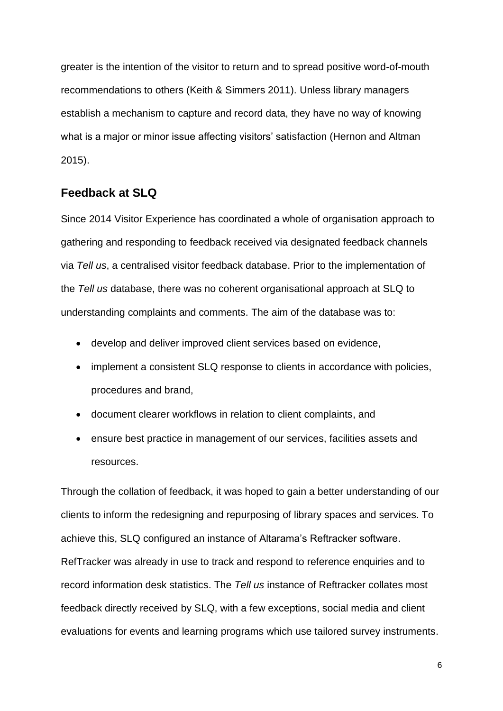greater is the intention of the visitor to return and to spread positive word-of-mouth recommendations to others (Keith & Simmers 2011). Unless library managers establish a mechanism to capture and record data, they have no way of knowing what is a major or minor issue affecting visitors' satisfaction (Hernon and Altman 2015).

# **Feedback at SLQ**

Since 2014 Visitor Experience has coordinated a whole of organisation approach to gathering and responding to feedback received via designated feedback channels via *Tell us*, a centralised visitor feedback database. Prior to the implementation of the *Tell us* database, there was no coherent organisational approach at SLQ to understanding complaints and comments. The aim of the database was to:

- develop and deliver improved client services based on evidence,
- implement a consistent SLQ response to clients in accordance with policies, procedures and brand,
- document clearer workflows in relation to client complaints, and
- ensure best practice in management of our services, facilities assets and resources.

Through the collation of feedback, it was hoped to gain a better understanding of our clients to inform the redesigning and repurposing of library spaces and services. To achieve this, SLQ configured an instance of Altarama's Reftracker software. RefTracker was already in use to track and respond to reference enquiries and to record information desk statistics. The *Tell us* instance of Reftracker collates most feedback directly received by SLQ, with a few exceptions, social media and client evaluations for events and learning programs which use tailored survey instruments.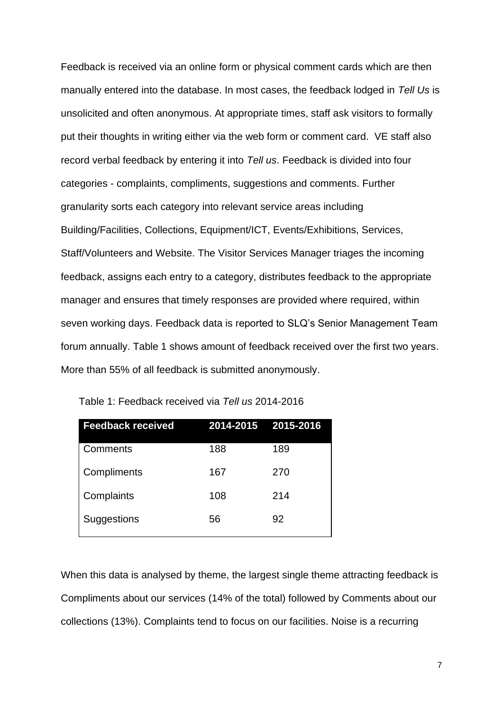Feedback is received via an online form or physical comment cards which are then manually entered into the database. In most cases, the feedback lodged in *Tell Us* is unsolicited and often anonymous. At appropriate times, staff ask visitors to formally put their thoughts in writing either via the web form or comment card. VE staff also record verbal feedback by entering it into *Tell us*. Feedback is divided into four categories - complaints, compliments, suggestions and comments. Further granularity sorts each category into relevant service areas including Building/Facilities, Collections, Equipment/ICT, Events/Exhibitions, Services, Staff/Volunteers and Website. The Visitor Services Manager triages the incoming feedback, assigns each entry to a category, distributes feedback to the appropriate manager and ensures that timely responses are provided where required, within seven working days. Feedback data is reported to SLQ's Senior Management Team forum annually. Table 1 shows amount of feedback received over the first two years. More than 55% of all feedback is submitted anonymously.

| <b>Feedback received</b> | 2014-2015 2015-2016 |     |
|--------------------------|---------------------|-----|
| Comments                 | 188                 | 189 |
| Compliments              | 167                 | 270 |
| Complaints               | 108                 | 214 |
| Suggestions              | 56                  | 92  |

Table 1: Feedback received via *Tell us* 2014-2016

When this data is analysed by theme, the largest single theme attracting feedback is Compliments about our services (14% of the total) followed by Comments about our collections (13%). Complaints tend to focus on our facilities. Noise is a recurring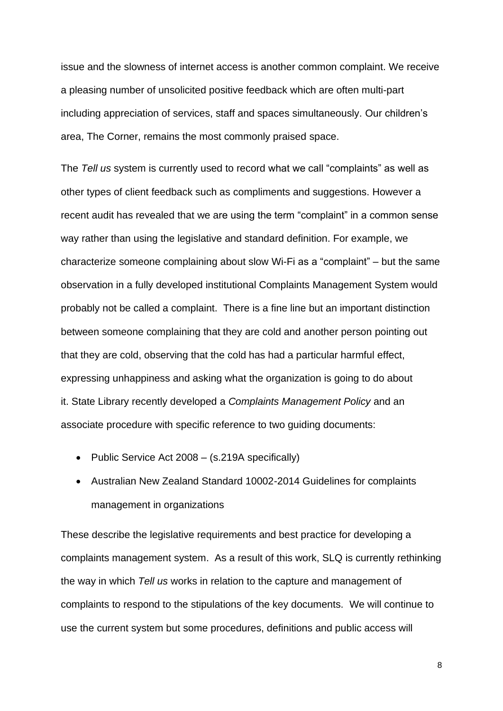issue and the slowness of internet access is another common complaint. We receive a pleasing number of unsolicited positive feedback which are often multi-part including appreciation of services, staff and spaces simultaneously. Our children's area, The Corner, remains the most commonly praised space.

The *Tell us* system is currently used to record what we call "complaints" as well as other types of client feedback such as compliments and suggestions. However a recent audit has revealed that we are using the term "complaint" in a common sense way rather than using the legislative and standard definition. For example, we characterize someone complaining about slow Wi-Fi as a "complaint" – but the same observation in a fully developed institutional Complaints Management System would probably not be called a complaint. There is a fine line but an important distinction between someone complaining that they are cold and another person pointing out that they are cold, observing that the cold has had a particular harmful effect, expressing unhappiness and asking what the organization is going to do about it. State Library recently developed a *Complaints Management Policy* and an associate procedure with specific reference to two guiding documents:

- Public Service Act 2008 (s.219A specifically)
- Australian New Zealand Standard 10002-2014 Guidelines for complaints management in organizations

These describe the legislative requirements and best practice for developing a complaints management system. As a result of this work, SLQ is currently rethinking the way in which *Tell us* works in relation to the capture and management of complaints to respond to the stipulations of the key documents. We will continue to use the current system but some procedures, definitions and public access will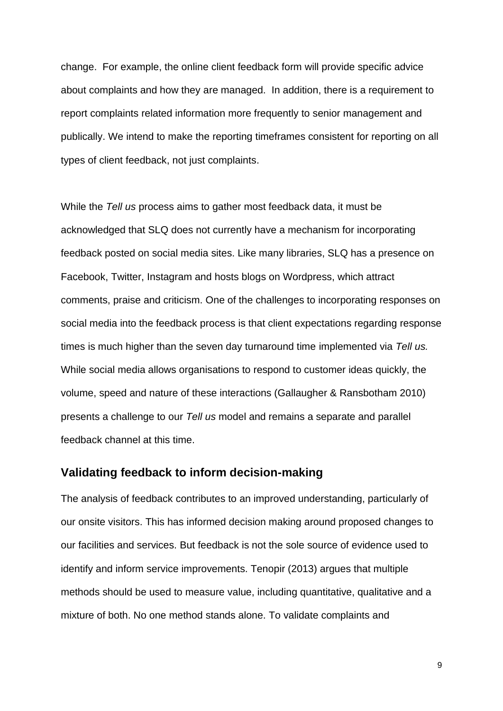change. For example, the online client feedback form will provide specific advice about complaints and how they are managed. In addition, there is a requirement to report complaints related information more frequently to senior management and publically. We intend to make the reporting timeframes consistent for reporting on all types of client feedback, not just complaints.

While the *Tell us* process aims to gather most feedback data, it must be acknowledged that SLQ does not currently have a mechanism for incorporating feedback posted on social media sites. Like many libraries, SLQ has a presence on Facebook, Twitter, Instagram and hosts blogs on Wordpress, which attract comments, praise and criticism. One of the challenges to incorporating responses on social media into the feedback process is that client expectations regarding response times is much higher than the seven day turnaround time implemented via *Tell us.* While social media allows organisations to respond to customer ideas quickly, the volume, speed and nature of these interactions (Gallaugher & Ransbotham 2010) presents a challenge to our *Tell us* model and remains a separate and parallel feedback channel at this time.

## **Validating feedback to inform decision-making**

The analysis of feedback contributes to an improved understanding, particularly of our onsite visitors. This has informed decision making around proposed changes to our facilities and services. But feedback is not the sole source of evidence used to identify and inform service improvements. Tenopir (2013) argues that multiple methods should be used to measure value, including quantitative, qualitative and a mixture of both. No one method stands alone. To validate complaints and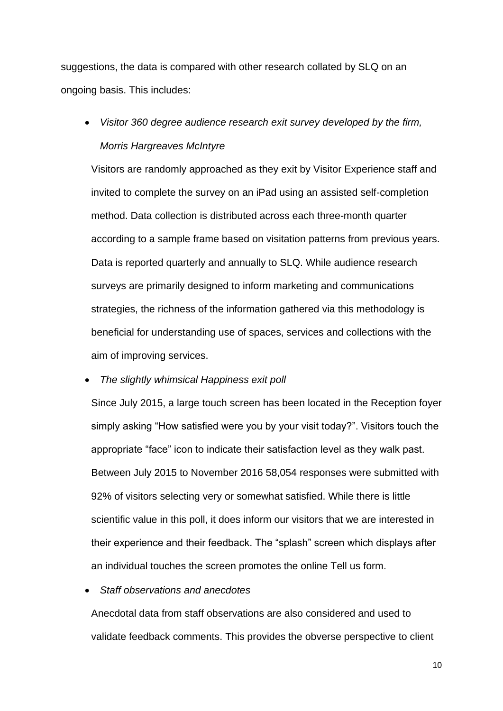suggestions, the data is compared with other research collated by SLQ on an ongoing basis. This includes:

• *Visitor 360 degree audience research exit survey developed by the firm, Morris Hargreaves McIntyre*

Visitors are randomly approached as they exit by Visitor Experience staff and invited to complete the survey on an iPad using an assisted self-completion method. Data collection is distributed across each three-month quarter according to a sample frame based on visitation patterns from previous years. Data is reported quarterly and annually to SLQ. While audience research surveys are primarily designed to inform marketing and communications strategies, the richness of the information gathered via this methodology is beneficial for understanding use of spaces, services and collections with the aim of improving services.

#### • *The slightly whimsical Happiness exit poll*

Since July 2015, a large touch screen has been located in the Reception foyer simply asking "How satisfied were you by your visit today?". Visitors touch the appropriate "face" icon to indicate their satisfaction level as they walk past. Between July 2015 to November 2016 58,054 responses were submitted with 92% of visitors selecting very or somewhat satisfied. While there is little scientific value in this poll, it does inform our visitors that we are interested in their experience and their feedback. The "splash" screen which displays after an individual touches the screen promotes the online Tell us form.

### • *Staff observations and anecdotes*

Anecdotal data from staff observations are also considered and used to validate feedback comments. This provides the obverse perspective to client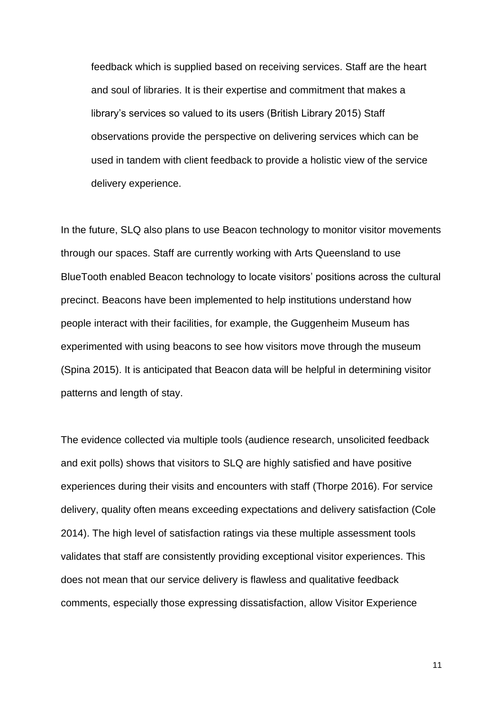feedback which is supplied based on receiving services. Staff are the heart and soul of libraries. It is their expertise and commitment that makes a library's services so valued to its users (British Library 2015) Staff observations provide the perspective on delivering services which can be used in tandem with client feedback to provide a holistic view of the service delivery experience.

In the future, SLQ also plans to use Beacon technology to monitor visitor movements through our spaces. Staff are currently working with Arts Queensland to use BlueTooth enabled Beacon technology to locate visitors' positions across the cultural precinct. Beacons have been implemented to help institutions understand how people interact with their facilities, for example, the Guggenheim Museum has experimented with using beacons to see how visitors move through the museum (Spina 2015). It is anticipated that Beacon data will be helpful in determining visitor patterns and length of stay.

The evidence collected via multiple tools (audience research, unsolicited feedback and exit polls) shows that visitors to SLQ are highly satisfied and have positive experiences during their visits and encounters with staff (Thorpe 2016). For service delivery, quality often means exceeding expectations and delivery satisfaction (Cole 2014). The high level of satisfaction ratings via these multiple assessment tools validates that staff are consistently providing exceptional visitor experiences. This does not mean that our service delivery is flawless and qualitative feedback comments, especially those expressing dissatisfaction, allow Visitor Experience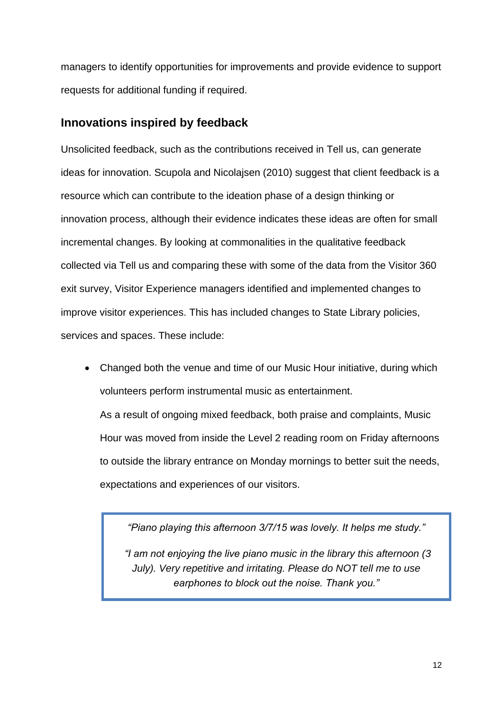managers to identify opportunities for improvements and provide evidence to support requests for additional funding if required.

# **Innovations inspired by feedback**

Unsolicited feedback, such as the contributions received in Tell us, can generate ideas for innovation. Scupola and Nicolajsen (2010) suggest that client feedback is a resource which can contribute to the ideation phase of a design thinking or innovation process, although their evidence indicates these ideas are often for small incremental changes. By looking at commonalities in the qualitative feedback collected via Tell us and comparing these with some of the data from the Visitor 360 exit survey, Visitor Experience managers identified and implemented changes to improve visitor experiences. This has included changes to State Library policies, services and spaces. These include:

• Changed both the venue and time of our Music Hour initiative, during which volunteers perform instrumental music as entertainment. As a result of ongoing mixed feedback, both praise and complaints, Music Hour was moved from inside the Level 2 reading room on Friday afternoons to outside the library entrance on Monday mornings to better suit the needs, expectations and experiences of our visitors.

*"Piano playing this afternoon 3/7/15 was lovely. It helps me study."* 

*"I am not enjoying the live piano music in the library this afternoon (3 July). Very repetitive and irritating. Please do NOT tell me to use earphones to block out the noise. Thank you."*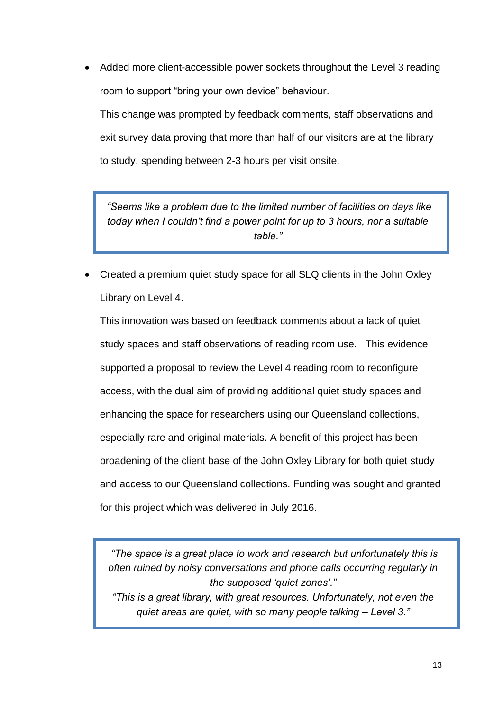• Added more client-accessible power sockets throughout the Level 3 reading room to support "bring your own device" behaviour.

This change was prompted by feedback comments, staff observations and exit survey data proving that more than half of our visitors are at the library to study, spending between 2-3 hours per visit onsite.

*"Seems like a problem due to the limited number of facilities on days like today when I couldn't find a power point for up to 3 hours, nor a suitable table."*

• Created a premium quiet study space for all SLQ clients in the John Oxley Library on Level 4.

This innovation was based on feedback comments about a lack of quiet study spaces and staff observations of reading room use. This evidence supported a proposal to review the Level 4 reading room to reconfigure access, with the dual aim of providing additional quiet study spaces and enhancing the space for researchers using our Queensland collections, especially rare and original materials. A benefit of this project has been broadening of the client base of the John Oxley Library for both quiet study and access to our Queensland collections. Funding was sought and granted for this project which was delivered in July 2016.

*"The space is a great place to work and research but unfortunately this is often ruined by noisy conversations and phone calls occurring regularly in the supposed 'quiet zones'."*

*"This is a great library, with great resources. Unfortunately, not even the quiet areas are quiet, with so many people talking – Level 3."*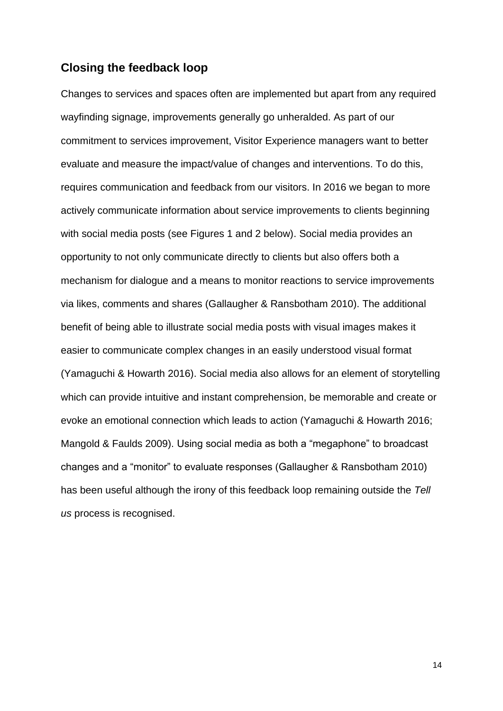## **Closing the feedback loop**

Changes to services and spaces often are implemented but apart from any required wayfinding signage, improvements generally go unheralded. As part of our commitment to services improvement, Visitor Experience managers want to better evaluate and measure the impact/value of changes and interventions. To do this, requires communication and feedback from our visitors. In 2016 we began to more actively communicate information about service improvements to clients beginning with social media posts (see Figures 1 and 2 below). Social media provides an opportunity to not only communicate directly to clients but also offers both a mechanism for dialogue and a means to monitor reactions to service improvements via likes, comments and shares (Gallaugher & Ransbotham 2010). The additional benefit of being able to illustrate social media posts with visual images makes it easier to communicate complex changes in an easily understood visual format (Yamaguchi & Howarth 2016). Social media also allows for an element of storytelling which can provide intuitive and instant comprehension, be memorable and create or evoke an emotional connection which leads to action (Yamaguchi & Howarth 2016; Mangold & Faulds 2009). Using social media as both a "megaphone" to broadcast changes and a "monitor" to evaluate responses (Gallaugher & Ransbotham 2010) has been useful although the irony of this feedback loop remaining outside the *Tell us* process is recognised.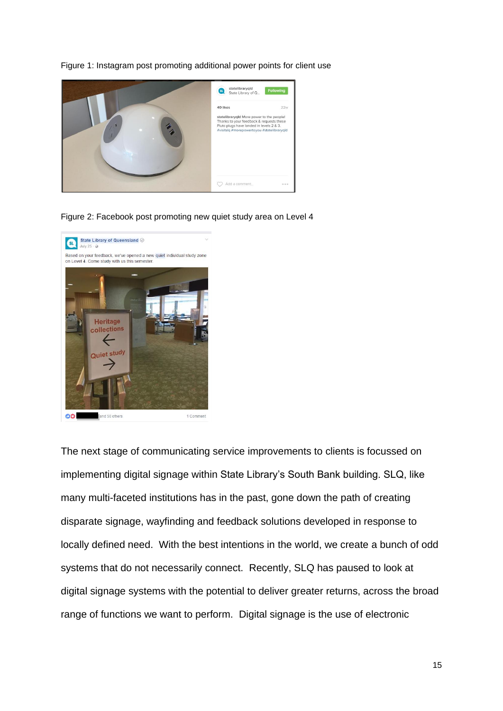

Figure 1: Instagram post promoting additional power points for client use

Figure 2: Facebook post promoting new quiet study area on Level 4



The next stage of communicating service improvements to clients is focussed on implementing digital signage within State Library's South Bank building. SLQ, like many multi-faceted institutions has in the past, gone down the path of creating disparate signage, wayfinding and feedback solutions developed in response to locally defined need. With the best intentions in the world, we create a bunch of odd systems that do not necessarily connect. Recently, SLQ has paused to look at digital signage systems with the potential to deliver greater returns, across the broad range of functions we want to perform. Digital signage is the use of electronic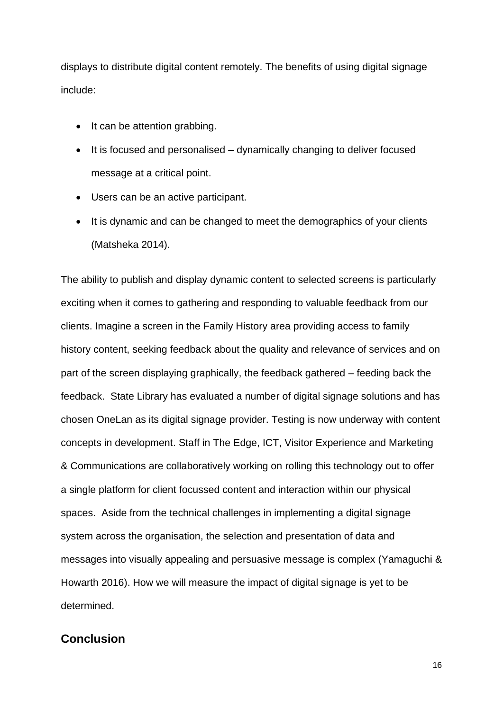displays to distribute digital content remotely. The benefits of using digital signage include:

- It can be attention grabbing.
- It is focused and personalised dynamically changing to deliver focused message at a critical point.
- Users can be an active participant.
- It is dynamic and can be changed to meet the demographics of your clients (Matsheka 2014).

The ability to publish and display dynamic content to selected screens is particularly exciting when it comes to gathering and responding to valuable feedback from our clients. Imagine a screen in the Family History area providing access to family history content, seeking feedback about the quality and relevance of services and on part of the screen displaying graphically, the feedback gathered – feeding back the feedback. State Library has evaluated a number of digital signage solutions and has chosen OneLan as its digital signage provider. Testing is now underway with content concepts in development. Staff in The Edge, ICT, Visitor Experience and Marketing & Communications are collaboratively working on rolling this technology out to offer a single platform for client focussed content and interaction within our physical spaces. Aside from the technical challenges in implementing a digital signage system across the organisation, the selection and presentation of data and messages into visually appealing and persuasive message is complex (Yamaguchi & Howarth 2016). How we will measure the impact of digital signage is yet to be determined.

# **Conclusion**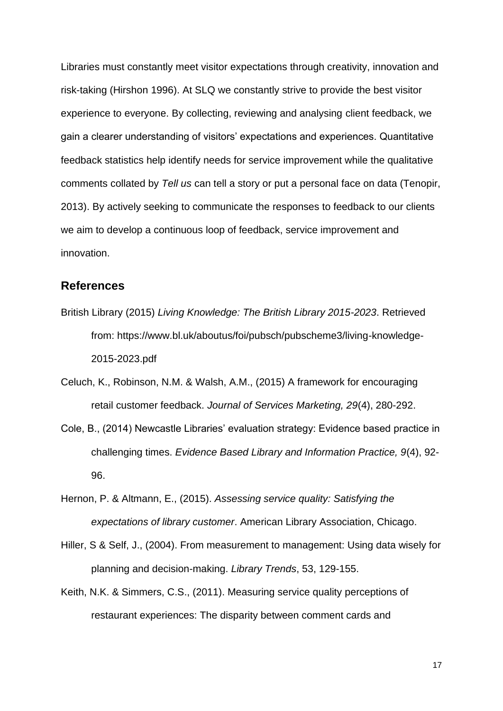Libraries must constantly meet visitor expectations through creativity, innovation and risk-taking (Hirshon 1996). At SLQ we constantly strive to provide the best visitor experience to everyone. By collecting, reviewing and analysing client feedback, we gain a clearer understanding of visitors' expectations and experiences. Quantitative feedback statistics help identify needs for service improvement while the qualitative comments collated by *Tell us* can tell a story or put a personal face on data (Tenopir, 2013). By actively seeking to communicate the responses to feedback to our clients we aim to develop a continuous loop of feedback, service improvement and innovation.

## **References**

- British Library (2015) *Living Knowledge: The British Library 2015-2023*. Retrieved from: [https://www.bl.uk/aboutus/foi/pubsch/pubscheme3/living-knowledge-](https://www.bl.uk/aboutus/foi/pubsch/pubscheme3/living-knowledge-2015-2023.pdf)[2015-2023.pdf](https://www.bl.uk/aboutus/foi/pubsch/pubscheme3/living-knowledge-2015-2023.pdf)
- Celuch, K., Robinson, N.M. & Walsh, A.M., (2015) A framework for encouraging retail customer feedback. *Journal of Services Marketing, 29*(4), 280-292.
- Cole, B., (2014) Newcastle Libraries' evaluation strategy: Evidence based practice in challenging times. *Evidence Based Library and Information Practice, 9*(4), 92- 96.
- Hernon, P. & Altmann, E., (2015). *Assessing service quality: Satisfying the expectations of library customer*. American Library Association, Chicago.
- Hiller, S & Self, J., (2004). From measurement to management: Using data wisely for planning and decision-making. *Library Trends*, 53, 129-155.
- Keith, N.K. & Simmers, C.S., (2011). Measuring service quality perceptions of restaurant experiences: The disparity between comment cards and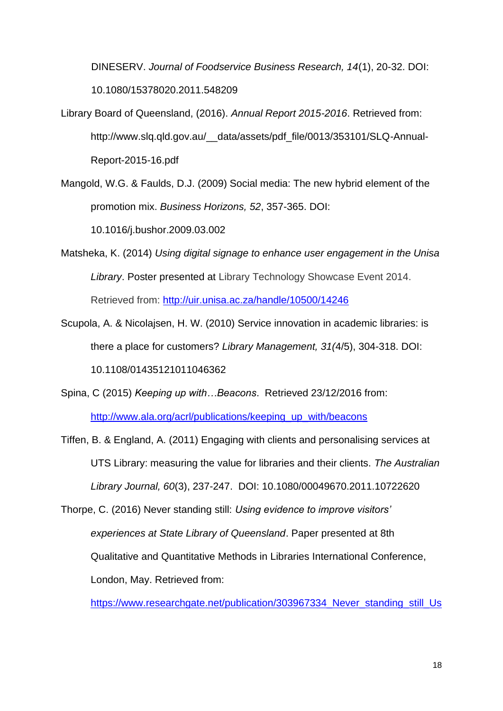DINESERV. *Journal of Foodservice Business Research, 14*(1), 20-32. DOI: 10.1080/15378020.2011.548209

- Library Board of Queensland, (2016). *Annual Report 2015-2016*. Retrieved from: http://www.slg.qld.gov.au/ data/assets/pdf file/0013/353101/SLQ-Annual-Report-2015-16.pdf
- Mangold, W.G. & Faulds, D.J. (2009) Social media: The new hybrid element of the promotion mix. *Business Horizons, 52*, 357-365. DOI:

10.1016/j.bushor.2009.03.002

- Matsheka, K. (2014) *Using digital signage to enhance user engagement in the Unisa Library*. Poster presented at Library Technology Showcase Event 2014. Retrieved from:<http://uir.unisa.ac.za/handle/10500/14246>
- Scupola, A. & Nicolajsen, H. W. (2010) Service innovation in academic libraries: is there a place for customers? *Library Management, 31(*4/5), 304-318. DOI: 10.1108/01435121011046362
- Spina, C (2015) *Keeping up with…Beacons*. Retrieved 23/12/2016 from: [http://www.ala.org/acrl/publications/keeping\\_up\\_with/beacons](http://www.ala.org/acrl/publications/keeping_up_with/beacons)

Tiffen, B. & England, A. (2011) Engaging with clients and personalising services at UTS Library: measuring the value for libraries and their clients. *The Australian Library Journal, 60*(3), 237-247. DOI: 10.1080/00049670.2011.10722620

Thorpe, C. (2016) Never standing still: *Using evidence to improve visitors' experiences at State Library of Queensland*. Paper presented at 8th Qualitative and Quantitative Methods in Libraries International Conference, London, May. Retrieved from:

[https://www.researchgate.net/publication/303967334\\_Never\\_standing\\_still\\_Us](https://www.researchgate.net/publication/303967334_Never_standing_still_Using_evidence_to_improve_visitors%27_experiences_at_State_Library_of_Queensland)